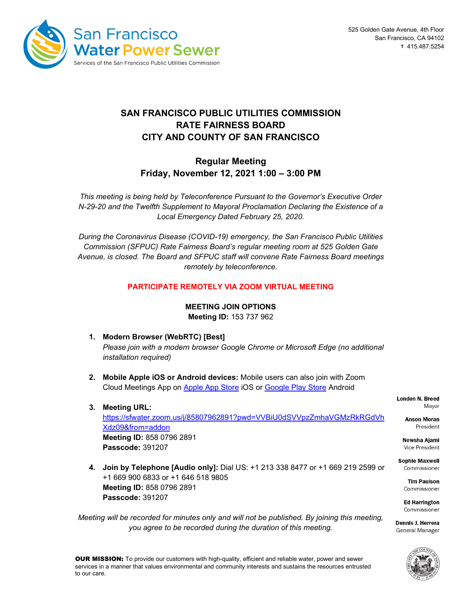

# **SAN FRANCISCO PUBLIC UTILITIES COMMISSION RATE FAIRNESS BOARD CITY AND COUNTY OF SAN FRANCISCO**

## **Regular Meeting Friday, November 12, 2021 1:00 – 3:00 PM**

*This meeting is being held by Teleconference Pursuant to the Governor's Executive Order N-29-20 and the Twelfth Supplement to Mayoral Proclamation Declaring the Existence of a Local Emergency Dated February 25, 2020.*

*During the Coronavirus Disease (COVID-19) emergency, the San Francisco Public Utilities Commission (SFPUC) Rate Fairness Board's regular meeting room at 525 Golden Gate Avenue, is closed. The Board and SFPUC staff will convene Rate Fairness Board meetings remotely by teleconference.*

### **PARTICIPATE REMOTELY VIA ZOOM VIRTUAL MEETING**

#### **MEETING JOIN OPTIONS**

**Meeting ID:** 153 737 962

- **1. Modern Browser (WebRTC) [Best]** *Please join with a modern browser Google Chrome or Microsoft Edge (no additional installation required)*
- **2. Mobile Apple iOS or Android devices:** Mobile users can also join with Zoom Cloud Meetings App on [Apple App Store](https://itunes.apple.com/kn/app/blue-jeans/id560788314) iOS or [Google Play Store](https://play.google.com/store/apps/details?id=com.bluejeansnet.Base) Android
- **3. Meeting URL:**

[https://sfwater.zoom.us/j/85807962891?pwd=VVBiU0dSVVpzZmhaVGMzRkRGdVh](https://sfwater.zoom.us/j/85807962891?pwd=VVBiU0dSVVpzZmhaVGMzRkRGdVhXdz09&from=addon) [Xdz09&from=addon](https://sfwater.zoom.us/j/85807962891?pwd=VVBiU0dSVVpzZmhaVGMzRkRGdVhXdz09&from=addon) **Meeting ID:** 858 0796 2891 **Passcode:** 391207

**4. Join by Telephone [Audio only]:** Dial US: +1 213 338 8477 or +1 669 219 2599 or +1 669 900 6833 or +1 646 518 9805 **Meeting ID:** 858 0796 2891 **Passcode:** 391207

*Meeting will be recorded for minutes only and will not be published. By joining this meeting, you agree to be recorded during the duration of this meeting.*

**London N. Breed** Mavor

> **Anson Moran** President

Newsha Aiami Vice President

**Sophie Maxwell** Commissioner

> **Tim Paulson** Commissioner

**Ed Harrington** Commissioner

Dennis J. Herrera General Manager

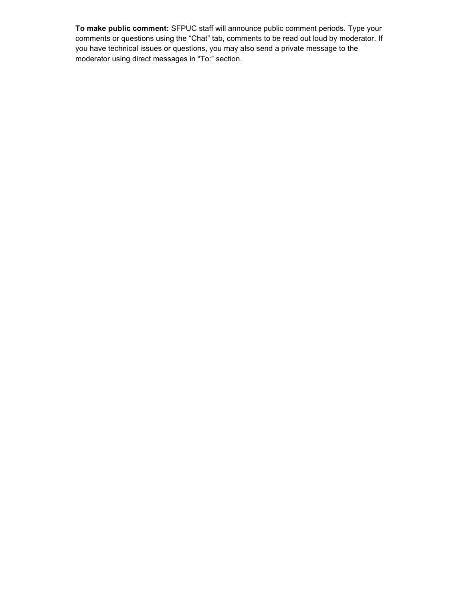**To make public comment:** SFPUC staff will announce public comment periods. Type your comments or questions using the "Chat" tab, comments to be read out loud by moderator. If you have technical issues or questions, you may also send a private message to the moderator using direct messages in "To:" section.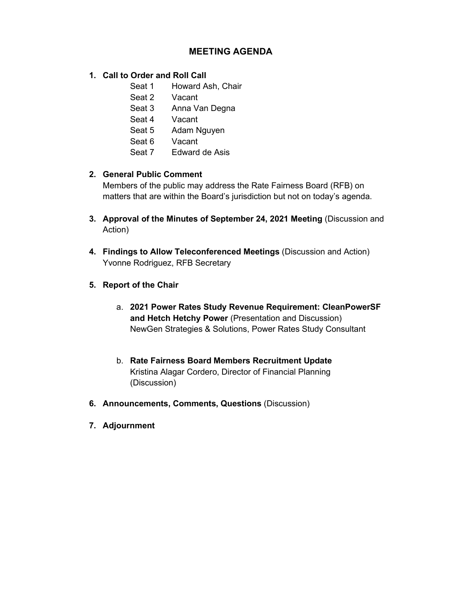## **MEETING AGENDA**

## **1. Call to Order and Roll Call**

- Seat 1 Howard Ash, Chair
- Seat 2 Vacant
- Seat 3 Anna Van Degna
- Seat 4 Vacant
- Seat 5 Adam Nguyen
- Seat 6 Vacant
- Seat 7 Edward de Asis

## **2. General Public Comment**

Members of the public may address the Rate Fairness Board (RFB) on matters that are within the Board's jurisdiction but not on today's agenda.

- **3. Approval of the Minutes of September 24, 2021 Meeting** (Discussion and Action)
- **4. Findings to Allow Teleconferenced Meetings** (Discussion and Action) Yvonne Rodriguez, RFB Secretary
- **5. Report of the Chair**
	- a. **2021 Power Rates Study Revenue Requirement: CleanPowerSF and Hetch Hetchy Power** (Presentation and Discussion) NewGen Strategies & Solutions, Power Rates Study Consultant
	- b. **Rate Fairness Board Members Recruitment Update** Kristina Alagar Cordero, Director of Financial Planning (Discussion)
- **6. Announcements, Comments, Questions** (Discussion)
- **7. Adjournment**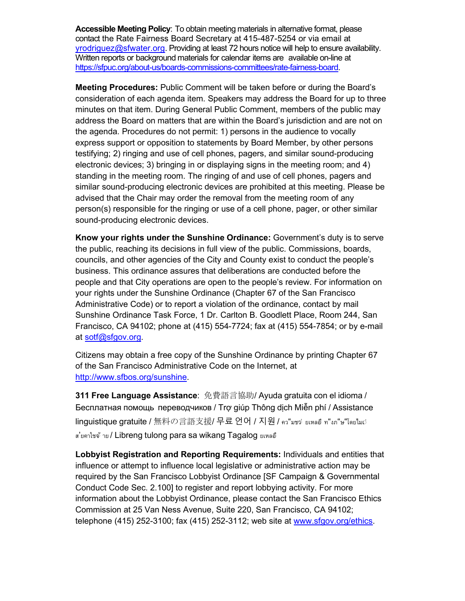**Accessible Meeting Policy**: To obtain meeting materials in alternative format, please contact the Rate Fairness Board Secretary at 415-487-5254 or via email at [yrodriguez@sfwater.org.](mailto:yrodriguez@sfwater.org) Providing at least 72 hours notice will help to ensure availability. Written reports or background materials for calendar items are available on-line at [https://sfpuc.org/about-us/boards-commissions-committees/rate-fairness-board.](https://sfpuc.org/about-us/boards-commissions-committees/rate-fairness-board)

**Meeting Procedures:** Public Comment will be taken before or during the Board's consideration of each agenda item. Speakers may address the Board for up to three minutes on that item. During General Public Comment, members of the public may address the Board on matters that are within the Board's jurisdiction and are not on the agenda. Procedures do not permit: 1) persons in the audience to vocally express support or opposition to statements by Board Member, by other persons testifying; 2) ringing and use of cell phones, pagers, and similar sound-producing electronic devices; 3) bringing in or displaying signs in the meeting room; and 4) standing in the meeting room. The ringing of and use of cell phones, pagers and similar sound-producing electronic devices are prohibited at this meeting. Please be advised that the Chair may order the removal from the meeting room of any person(s) responsible for the ringing or use of a cell phone, pager, or other similar sound-producing electronic devices.

**Know your rights under the Sunshine Ordinance:** Government's duty is to serve the public, reaching its decisions in full view of the public. Commissions, boards, councils, and other agencies of the City and County exist to conduct the people's business. This ordinance assures that deliberations are conducted before the people and that City operations are open to the people's review. For information on your rights under the Sunshine Ordinance (Chapter 67 of the San Francisco Administrative Code) or to report a violation of the ordinance, contact by mail Sunshine Ordinance Task Force, 1 Dr. Carlton B. Goodlett Place, Room 244, San Francisco, CA 94102; phone at (415) 554-7724; fax at (415) 554-7854; or by e-mail at [sotf@sfgov.org.](mailto:sotf@sfgov.org)

Citizens may obtain a free copy of the Sunshine Ordinance by printing Chapter 67 of the San Francisco Administrative Code on the Internet, at [http://www.sfbos.org/sunshine.](http://www.sfbos.org/sunshine)

**311 Free Language Assistance**: 免費語言協助/ Ayuda gratuita con el idioma / Бесплатная помощь переводчиков / Trợ giúp Thông dịch Miễn phí / Assistance linguistique gratuite / 無料の言語支援/ 무료 언어 / 지원 / คว"มชฺจํ ยเหลอํ ท"งภ"ษ"โดยไมฝ ส'ยคาใชจ้ าย / Libreng tulong para sa wikang Tagalog ยเหลอื

**Lobbyist Registration and Reporting Requirements:** Individuals and entities that influence or attempt to influence local legislative or administrative action may be required by the San Francisco Lobbyist Ordinance [SF Campaign & Governmental Conduct Code Sec. 2.100] to register and report lobbying activity. For more information about the Lobbyist Ordinance, please contact the San Francisco Ethics Commission at 25 Van Ness Avenue, Suite 220, San Francisco, CA 94102; telephone (415) 252-3100; fax (415) 252-3112; web site at [www.sfgov.org/ethics.](http://www.sfgov.org/ethics)